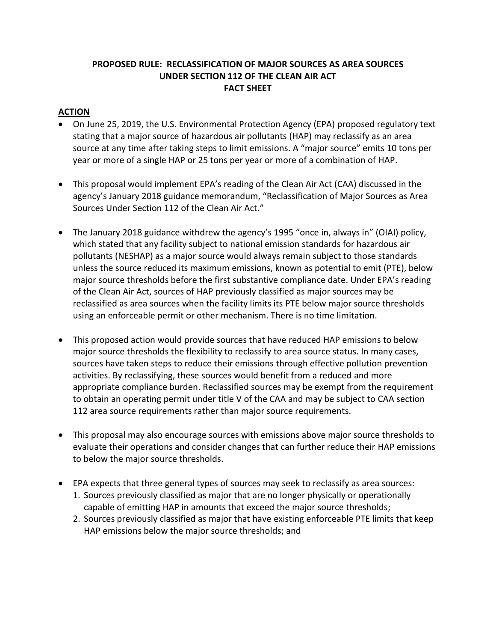# **PROPOSED RULE: RECLASSIFICATION OF MAJOR SOURCES AS AREA SOURCES UNDER SECTION 112 OF THE CLEAN AIR ACT FACT SHEET**

# **ACTION**

- On June 25, 2019, the U.S. Environmental Protection Agency (EPA) proposed regulatory text stating that a major source of hazardous air pollutants (HAP) may reclassify as an area source at any time after taking steps to limit emissions. A "major source" emits 10 tons per year or more of a single HAP or 25 tons per year or more of a combination of HAP.
- This proposal would implement EPA's reading of the Clean Air Act (CAA) discussed in the agency's January 2018 guidance memorandum, "Reclassification of Major Sources as Area Sources Under Section 112 of the Clean Air Act."
- The January 2018 guidance withdrew the agency's 1995 "once in, always in" (OIAI) policy, which stated that any facility subject to national emission standards for hazardous air pollutants (NESHAP) as a major source would always remain subject to those standards unless the source reduced its maximum emissions, known as potential to emit (PTE), below major source thresholds before the first substantive compliance date. Under EPA's reading of the Clean Air Act, sources of HAP previously classified as major sources may be reclassified as area sources when the facility limits its PTE below major source thresholds using an enforceable permit or other mechanism. There is no time limitation.
- This proposed action would provide sources that have reduced HAP emissions to below major source thresholds the flexibility to reclassify to area source status. In many cases, sources have taken steps to reduce their emissions through effective pollution prevention activities. By reclassifying, these sources would benefit from a reduced and more appropriate compliance burden. Reclassified sources may be exempt from the requirement to obtain an operating permit under title V of the CAA and may be subject to CAA section 112 area source requirements rather than major source requirements.
- This proposal may also encourage sources with emissions above major source thresholds to evaluate their operations and consider changes that can further reduce their HAP emissions to below the major source thresholds.
- EPA expects that three general types of sources may seek to reclassify as area sources:
	- 1. Sources previously classified as major that are no longer physically or operationally capable of emitting HAP in amounts that exceed the major source thresholds;
	- 2. Sources previously classified as major that have existing enforceable PTE limits that keep HAP emissions below the major source thresholds; and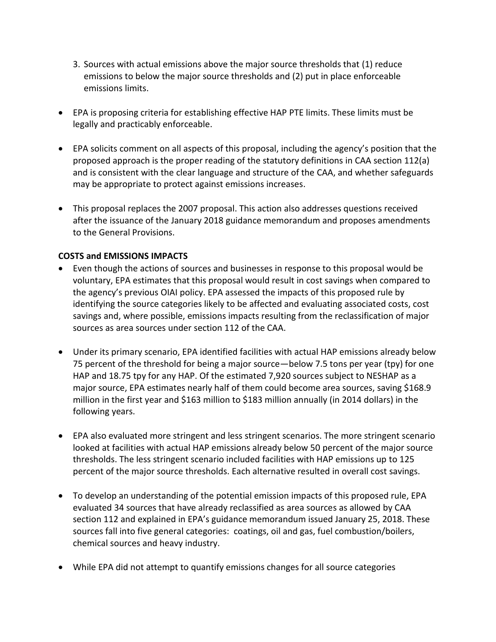- 3. Sources with actual emissions above the major source thresholds that (1) reduce emissions to below the major source thresholds and (2) put in place enforceable emissions limits.
- EPA is proposing criteria for establishing effective HAP PTE limits. These limits must be legally and practicably enforceable.
- EPA solicits comment on all aspects of this proposal, including the agency's position that the proposed approach is the proper reading of the statutory definitions in CAA section 112(a) and is consistent with the clear language and structure of the CAA, and whether safeguards may be appropriate to protect against emissions increases.
- This proposal replaces the 2007 proposal. This action also addresses questions received after the issuance of the January 2018 guidance memorandum and proposes amendments to the General Provisions.

### **COSTS and EMISSIONS IMPACTS**

- Even though the actions of sources and businesses in response to this proposal would be voluntary, EPA estimates that this proposal would result in cost savings when compared to the agency's previous OIAI policy. EPA assessed the impacts of this proposed rule by identifying the source categories likely to be affected and evaluating associated costs, cost savings and, where possible, emissions impacts resulting from the reclassification of major sources as area sources under section 112 of the CAA.
- Under its primary scenario, EPA identified facilities with actual HAP emissions already below 75 percent of the threshold for being a major source—below 7.5 tons per year (tpy) for one HAP and 18.75 tpy for any HAP. Of the estimated 7,920 sources subject to NESHAP as a major source, EPA estimates nearly half of them could become area sources, saving \$168.9 million in the first year and \$163 million to \$183 million annually (in 2014 dollars) in the following years.
- EPA also evaluated more stringent and less stringent scenarios. The more stringent scenario looked at facilities with actual HAP emissions already below 50 percent of the major source thresholds. The less stringent scenario included facilities with HAP emissions up to 125 percent of the major source thresholds. Each alternative resulted in overall cost savings.
- To develop an understanding of the potential emission impacts of this proposed rule, EPA evaluated 34 sources that have already reclassified as area sources as allowed by CAA section 112 and explained in EPA's guidance memorandum issued January 25, 2018. These sources fall into five general categories: coatings, oil and gas, fuel combustion/boilers, chemical sources and heavy industry.
- While EPA did not attempt to quantify emissions changes for all source categories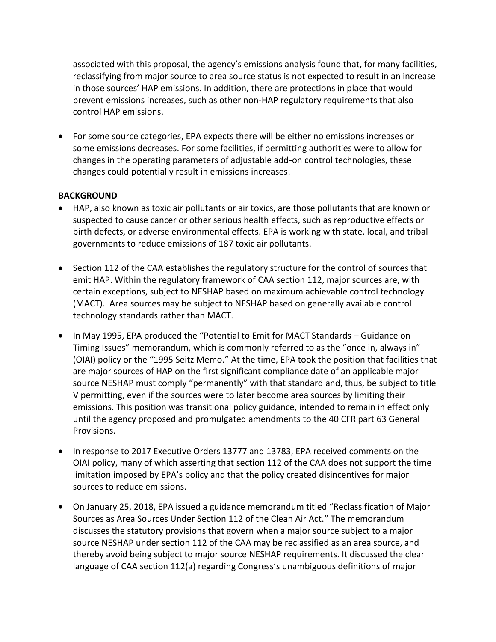associated with this proposal, the agency's emissions analysis found that, for many facilities, reclassifying from major source to area source status is not expected to result in an increase in those sources' HAP emissions. In addition, there are protections in place that would prevent emissions increases, such as other non-HAP regulatory requirements that also control HAP emissions.

• For some source categories, EPA expects there will be either no emissions increases or some emissions decreases. For some facilities, if permitting authorities were to allow for changes in the operating parameters of adjustable add-on control technologies, these changes could potentially result in emissions increases.

### **BACKGROUND**

- HAP, also known as toxic air pollutants or air toxics, are those pollutants that are known or suspected to cause cancer or other serious health effects, such as reproductive effects or birth defects, or adverse environmental effects. EPA is working with state, local, and tribal governments to reduce emissions of 187 toxic air pollutants.
- Section 112 of the CAA establishes the regulatory structure for the control of sources that emit HAP. Within the regulatory framework of CAA section 112, major sources are, with certain exceptions, subject to NESHAP based on maximum achievable control technology (MACT). Area sources may be subject to NESHAP based on generally available control technology standards rather than MACT.
- In May 1995, EPA produced the "Potential to Emit for MACT Standards Guidance on Timing Issues" memorandum, which is commonly referred to as the "once in, always in" (OIAI) policy or the "1995 Seitz Memo." At the time, EPA took the position that facilities that are major sources of HAP on the first significant compliance date of an applicable major source NESHAP must comply "permanently" with that standard and, thus, be subject to title V permitting, even if the sources were to later become area sources by limiting their emissions. This position was transitional policy guidance, intended to remain in effect only until the agency proposed and promulgated amendments to the 40 CFR part 63 General Provisions.
- In response to 2017 Executive Orders 13777 and 13783, EPA received comments on the OIAI policy, many of which asserting that section 112 of the CAA does not support the time limitation imposed by EPA's policy and that the policy created disincentives for major sources to reduce emissions.
- On January 25, 2018, EPA issued a guidance memorandum titled "Reclassification of Major Sources as Area Sources Under Section 112 of the Clean Air Act." The memorandum discusses the statutory provisions that govern when a major source subject to a major source NESHAP under section 112 of the CAA may be reclassified as an area source, and thereby avoid being subject to major source NESHAP requirements. It discussed the clear language of CAA section 112(a) regarding Congress's unambiguous definitions of major